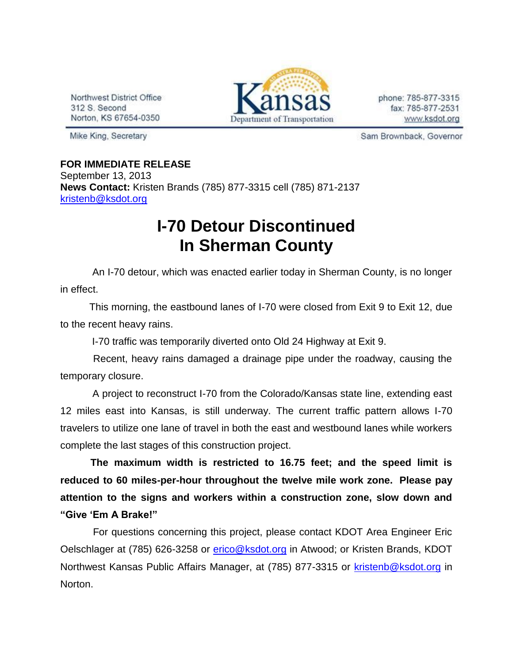Northwest District Office 312 S. Second Norton, KS 67654-0350



phone: 785-877-3315 fax: 785-877-2531 www.ksdot.org

Mike King, Secretary

Sam Brownback, Governor

**FOR IMMEDIATE RELEASE** September 13, 2013 **News Contact:** Kristen Brands (785) 877-3315 cell (785) 871-2137 [kristenb@ksdot.org](mailto:kristenb@ksdot.org)

## **I-70 Detour Discontinued In Sherman County**

 An I-70 detour, which was enacted earlier today in Sherman County, is no longer in effect.

 This morning, the eastbound lanes of I-70 were closed from Exit 9 to Exit 12, due to the recent heavy rains.

I-70 traffic was temporarily diverted onto Old 24 Highway at Exit 9.

 Recent, heavy rains damaged a drainage pipe under the roadway, causing the temporary closure.

 A project to reconstruct I-70 from the Colorado/Kansas state line, extending east 12 miles east into Kansas, is still underway. The current traffic pattern allows I-70 travelers to utilize one lane of travel in both the east and westbound lanes while workers complete the last stages of this construction project.

**The maximum width is restricted to 16.75 feet; and the speed limit is reduced to 60 miles-per-hour throughout the twelve mile work zone. Please pay attention to the signs and workers within a construction zone, slow down and "Give 'Em A Brake!"**

 For questions concerning this project, please contact KDOT Area Engineer Eric Oelschlager at (785) 626-3258 or [erico@ksdot.org](mailto:erico@ksdot.org) in Atwood; or Kristen Brands, KDOT Northwest Kansas Public Affairs Manager, at (785) 877-3315 or [kristenb@ksdot.org](mailto:kristenb@ksdot.org) in Norton.